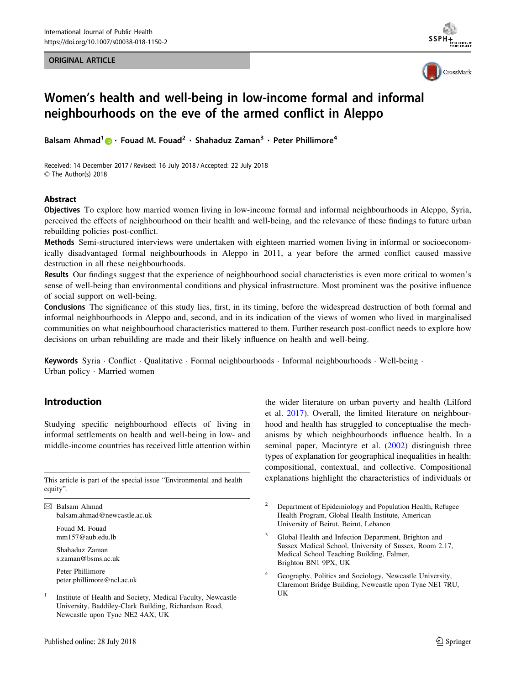#### ORIGINAL ARTICLE





# Women's health and well-being in low-income formal and informal neighbourhoods on the eve of the armed conflict in Aleppo

Balsam Ahmad<sup>1</sup> • Fouad M. Fouad<sup>2</sup> · Shahaduz Zaman<sup>3</sup> · Peter Phillimore<sup>4</sup>

Received: 14 December 2017 / Revised: 16 July 2018 / Accepted: 22 July 2018 © The Author(s) 2018

#### Abstract

Objectives To explore how married women living in low-income formal and informal neighbourhoods in Aleppo, Syria, perceived the effects of neighbourhood on their health and well-being, and the relevance of these findings to future urban rebuilding policies post-conflict.

Methods Semi-structured interviews were undertaken with eighteen married women living in informal or socioeconomically disadvantaged formal neighbourhoods in Aleppo in 2011, a year before the armed conflict caused massive destruction in all these neighbourhoods.

Results Our findings suggest that the experience of neighbourhood social characteristics is even more critical to women's sense of well-being than environmental conditions and physical infrastructure. Most prominent was the positive influence of social support on well-being.

Conclusions The significance of this study lies, first, in its timing, before the widespread destruction of both formal and informal neighbourhoods in Aleppo and, second, and in its indication of the views of women who lived in marginalised communities on what neighbourhood characteristics mattered to them. Further research post-conflict needs to explore how decisions on urban rebuilding are made and their likely influence on health and well-being.

Keywords Syria · Conflict · Qualitative · Formal neighbourhoods · Informal neighbourhoods · Well-being · Urban policy · Married women

## Introduction

Studying specific neighbourhood effects of living in informal settlements on health and well-being in low- and middle-income countries has received little attention within

equity".

 $\boxtimes$  Balsam Ahmad balsam.ahmad@newcastle.ac.uk

> Fouad M. Fouad mm157@aub.edu.lb

Shahaduz Zaman s.zaman@bsms.ac.uk

Peter Phillimore peter.phillimore@ncl.ac.uk

<sup>1</sup> Institute of Health and Society, Medical Faculty, Newcastle University, Baddiley-Clark Building, Richardson Road, Newcastle upon Tyne NE2 4AX, UK

Published online: 28 July 2018

the wider literature on urban poverty and health (Lilford et al. [2017](#page-6-0)). Overall, the limited literature on neighbourhood and health has struggled to conceptualise the mechanisms by which neighbourhoods influence health. In a seminal paper, Macintyre et al. [\(2002](#page-6-0)) distinguish three types of explanation for geographical inequalities in health: compositional, contextual, and collective. Compositional This article is part of the special issue "Environmental and health explanations highlight the characteristics of individuals or

> <sup>2</sup> Department of Epidemiology and Population Health, Refugee Health Program, Global Health Institute, American University of Beirut, Beirut, Lebanon

- <sup>3</sup> Global Health and Infection Department, Brighton and Sussex Medical School, University of Sussex, Room 2.17, Medical School Teaching Building, Falmer, Brighton BN1 9PX, UK
- <sup>4</sup> Geography, Politics and Sociology, Newcastle University, Claremont Bridge Building, Newcastle upon Tyne NE1 7RU, UK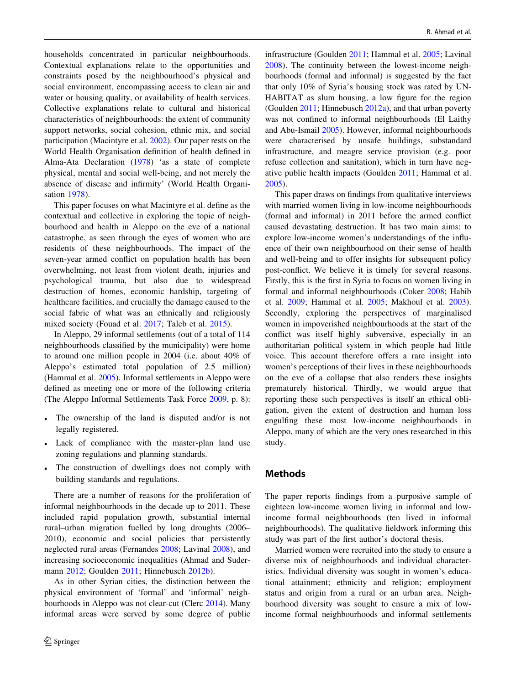households concentrated in particular neighbourhoods. Contextual explanations relate to the opportunities and constraints posed by the neighbourhood's physical and social environment, encompassing access to clean air and water or housing quality, or availability of health services. Collective explanations relate to cultural and historical characteristics of neighbourhoods: the extent of community support networks, social cohesion, ethnic mix, and social participation (Macintyre et al. [2002\)](#page-6-0). Our paper rests on the World Health Organisation definition of health defined in Alma-Ata Declaration [\(1978\)](#page-7-0) 'as a state of complete physical, mental and social well-being, and not merely the absence of disease and infirmity' (World Health Organisation [1978](#page-7-0)).

This paper focuses on what Macintyre et al. define as the contextual and collective in exploring the topic of neighbourhood and health in Aleppo on the eve of a national catastrophe, as seen through the eyes of women who are residents of these neighbourhoods. The impact of the seven-year armed conflict on population health has been overwhelming, not least from violent death, injuries and psychological trauma, but also due to widespread destruction of homes, economic hardship, targeting of healthcare facilities, and crucially the damage caused to the social fabric of what was an ethnically and religiously mixed society (Fouad et al. [2017](#page-6-0); Taleb et al. [2015](#page-7-0)).

In Aleppo, 29 informal settlements (out of a total of 114 neighbourhoods classified by the municipality) were home to around one million people in 2004 (i.e. about 40% of Aleppo's estimated total population of 2.5 million) (Hammal et al. [2005\)](#page-6-0). Informal settlements in Aleppo were defined as meeting one or more of the following criteria (The Aleppo Informal Settlements Task Force [2009,](#page-7-0) p. 8):

- The ownership of the land is disputed and/or is not legally registered.
- Lack of compliance with the master-plan land use zoning regulations and planning standards.
- The construction of dwellings does not comply with building standards and regulations.

There are a number of reasons for the proliferation of informal neighbourhoods in the decade up to 2011. These included rapid population growth, substantial internal rural–urban migration fuelled by long droughts (2006– 2010), economic and social policies that persistently neglected rural areas (Fernandes [2008;](#page-6-0) Lavinal [2008\)](#page-6-0), and increasing socioeconomic inequalities (Ahmad and Sudermann [2012;](#page-6-0) Goulden [2011](#page-6-0); Hinnebusch [2012b\)](#page-6-0).

As in other Syrian cities, the distinction between the physical environment of 'formal' and 'informal' neighbourhoods in Aleppo was not clear-cut (Clerc [2014](#page-6-0)). Many informal areas were served by some degree of public infrastructure (Goulden [2011](#page-6-0); Hammal et al. [2005](#page-6-0); Lavinal [2008](#page-6-0)). The continuity between the lowest-income neighbourhoods (formal and informal) is suggested by the fact that only 10% of Syria's housing stock was rated by UN-HABITAT as slum housing, a low figure for the region (Goulden [2011](#page-6-0); Hinnebusch [2012a](#page-6-0)), and that urban poverty was not confined to informal neighbourhoods (El Laithy and Abu-Ismail [2005\)](#page-6-0). However, informal neighbourhoods were characterised by unsafe buildings, substandard infrastructure, and meagre service provision (e.g. poor refuse collection and sanitation), which in turn have negative public health impacts (Goulden [2011](#page-6-0); Hammal et al. [2005](#page-6-0)).

This paper draws on findings from qualitative interviews with married women living in low-income neighbourhoods (formal and informal) in 2011 before the armed conflict caused devastating destruction. It has two main aims: to explore low-income women's understandings of the influence of their own neighbourhood on their sense of health and well-being and to offer insights for subsequent policy post-conflict. We believe it is timely for several reasons. Firstly, this is the first in Syria to focus on women living in formal and informal neighbourhoods (Coker [2008](#page-6-0); Habib et al. [2009](#page-6-0); Hammal et al. [2005;](#page-6-0) Makhoul et al. [2003](#page-6-0)). Secondly, exploring the perspectives of marginalised women in impoverished neighbourhoods at the start of the conflict was itself highly subversive, especially in an authoritarian political system in which people had little voice. This account therefore offers a rare insight into women's perceptions of their lives in these neighbourhoods on the eve of a collapse that also renders these insights prematurely historical. Thirdly, we would argue that reporting these such perspectives is itself an ethical obligation, given the extent of destruction and human loss engulfing these most low-income neighbourhoods in Aleppo, many of which are the very ones researched in this study.

# Methods

The paper reports findings from a purposive sample of eighteen low-income women living in informal and lowincome formal neighbourhoods (ten lived in informal neighbourhoods). The qualitative fieldwork informing this study was part of the first author's doctoral thesis.

Married women were recruited into the study to ensure a diverse mix of neighbourhoods and individual characteristics. Individual diversity was sought in women's educational attainment; ethnicity and religion; employment status and origin from a rural or an urban area. Neighbourhood diversity was sought to ensure a mix of lowincome formal neighbourhoods and informal settlements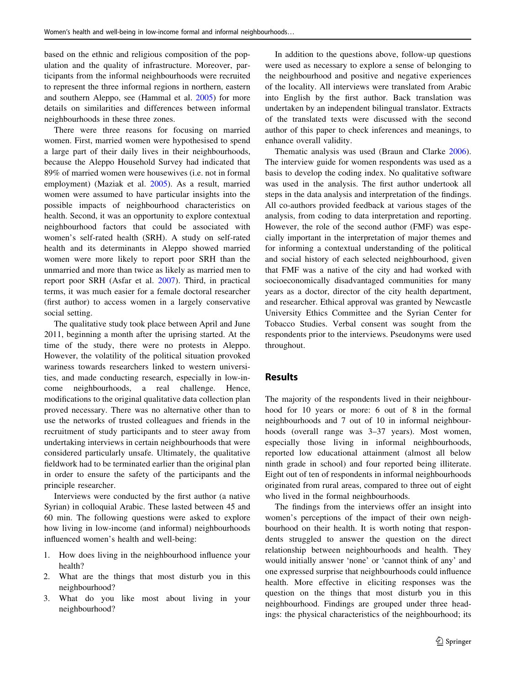based on the ethnic and religious composition of the population and the quality of infrastructure. Moreover, participants from the informal neighbourhoods were recruited to represent the three informal regions in northern, eastern and southern Aleppo, see (Hammal et al. [2005\)](#page-6-0) for more details on similarities and differences between informal neighbourhoods in these three zones.

There were three reasons for focusing on married women. First, married women were hypothesised to spend a large part of their daily lives in their neighbourhoods, because the Aleppo Household Survey had indicated that 89% of married women were housewives (i.e. not in formal employment) (Maziak et al. [2005](#page-7-0)). As a result, married women were assumed to have particular insights into the possible impacts of neighbourhood characteristics on health. Second, it was an opportunity to explore contextual neighbourhood factors that could be associated with women's self-rated health (SRH). A study on self-rated health and its determinants in Aleppo showed married women were more likely to report poor SRH than the unmarried and more than twice as likely as married men to report poor SRH (Asfar et al. [2007](#page-6-0)). Third, in practical terms, it was much easier for a female doctoral researcher (first author) to access women in a largely conservative social setting.

The qualitative study took place between April and June 2011, beginning a month after the uprising started. At the time of the study, there were no protests in Aleppo. However, the volatility of the political situation provoked wariness towards researchers linked to western universities, and made conducting research, especially in low-income neighbourhoods, a real challenge. Hence, modifications to the original qualitative data collection plan proved necessary. There was no alternative other than to use the networks of trusted colleagues and friends in the recruitment of study participants and to steer away from undertaking interviews in certain neighbourhoods that were considered particularly unsafe. Ultimately, the qualitative fieldwork had to be terminated earlier than the original plan in order to ensure the safety of the participants and the principle researcher.

Interviews were conducted by the first author (a native Syrian) in colloquial Arabic. These lasted between 45 and 60 min. The following questions were asked to explore how living in low-income (and informal) neighbourhoods influenced women's health and well-being:

- 1. How does living in the neighbourhood influence your health?
- 2. What are the things that most disturb you in this neighbourhood?
- 3. What do you like most about living in your neighbourhood?

In addition to the questions above, follow-up questions were used as necessary to explore a sense of belonging to the neighbourhood and positive and negative experiences of the locality. All interviews were translated from Arabic into English by the first author. Back translation was undertaken by an independent bilingual translator. Extracts of the translated texts were discussed with the second author of this paper to check inferences and meanings, to enhance overall validity.

Thematic analysis was used (Braun and Clarke [2006](#page-6-0)). The interview guide for women respondents was used as a basis to develop the coding index. No qualitative software was used in the analysis. The first author undertook all steps in the data analysis and interpretation of the findings. All co-authors provided feedback at various stages of the analysis, from coding to data interpretation and reporting. However, the role of the second author (FMF) was especially important in the interpretation of major themes and for informing a contextual understanding of the political and social history of each selected neighbourhood, given that FMF was a native of the city and had worked with socioeconomically disadvantaged communities for many years as a doctor, director of the city health department, and researcher. Ethical approval was granted by Newcastle University Ethics Committee and the Syrian Center for Tobacco Studies. Verbal consent was sought from the respondents prior to the interviews. Pseudonyms were used throughout.

# Results

The majority of the respondents lived in their neighbourhood for 10 years or more: 6 out of 8 in the formal neighbourhoods and 7 out of 10 in informal neighbourhoods (overall range was 3–37 years). Most women, especially those living in informal neighbourhoods, reported low educational attainment (almost all below ninth grade in school) and four reported being illiterate. Eight out of ten of respondents in informal neighbourhoods originated from rural areas, compared to three out of eight who lived in the formal neighbourhoods.

The findings from the interviews offer an insight into women's perceptions of the impact of their own neighbourhood on their health. It is worth noting that respondents struggled to answer the question on the direct relationship between neighbourhoods and health. They would initially answer 'none' or 'cannot think of any' and one expressed surprise that neighbourhoods could influence health. More effective in eliciting responses was the question on the things that most disturb you in this neighbourhood. Findings are grouped under three headings: the physical characteristics of the neighbourhood; its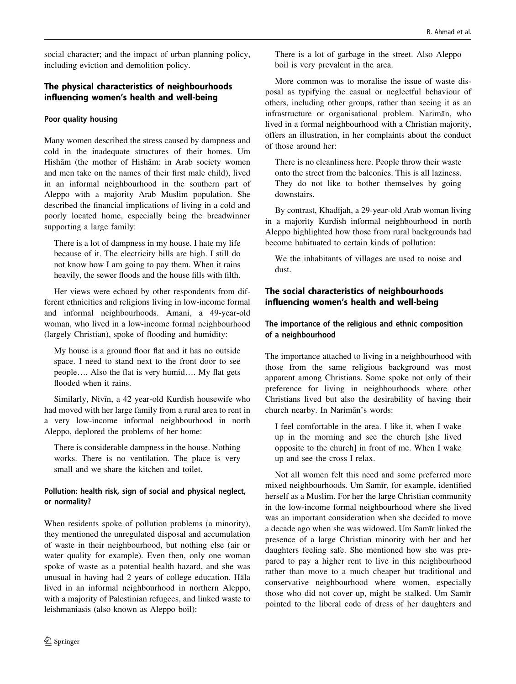social character; and the impact of urban planning policy, including eviction and demolition policy.

## The physical characteristics of neighbourhoods influencing women's health and well-being

#### Poor quality housing

Many women described the stress caused by dampness and cold in the inadequate structures of their homes. Um Hisham (the mother of Hisham: in Arab society women and men take on the names of their first male child), lived in an informal neighbourhood in the southern part of Aleppo with a majority Arab Muslim population. She described the financial implications of living in a cold and poorly located home, especially being the breadwinner supporting a large family:

There is a lot of dampness in my house. I hate my life because of it. The electricity bills are high. I still do not know how I am going to pay them. When it rains heavily, the sewer floods and the house fills with filth.

Her views were echoed by other respondents from different ethnicities and religions living in low-income formal and informal neighbourhoods. Amani, a 49-year-old woman, who lived in a low-income formal neighbourhood (largely Christian), spoke of flooding and humidity:

My house is a ground floor flat and it has no outside space. I need to stand next to the front door to see people…. Also the flat is very humid…. My flat gets flooded when it rains.

Similarly, Nivīn, a 42 year-old Kurdish housewife who had moved with her large family from a rural area to rent in a very low-income informal neighbourhood in north Aleppo, deplored the problems of her home:

There is considerable dampness in the house. Nothing works. There is no ventilation. The place is very small and we share the kitchen and toilet.

## Pollution: health risk, sign of social and physical neglect, or normality?

When residents spoke of pollution problems (a minority), they mentioned the unregulated disposal and accumulation of waste in their neighbourhood, but nothing else (air or water quality for example). Even then, only one woman spoke of waste as a potential health hazard, and she was unusual in having had 2 years of college education. Hala lived in an informal neighbourhood in northern Aleppo, with a majority of Palestinian refugees, and linked waste to leishmaniasis (also known as Aleppo boil):

There is a lot of garbage in the street. Also Aleppo boil is very prevalent in the area.

More common was to moralise the issue of waste disposal as typifying the casual or neglectful behaviour of others, including other groups, rather than seeing it as an infrastructure or organisational problem. Nariman, who lived in a formal neighbourhood with a Christian majority, offers an illustration, in her complaints about the conduct of those around her:

There is no cleanliness here. People throw their waste onto the street from the balconies. This is all laziness. They do not like to bother themselves by going downstairs.

By contrast, Khadījah, a 29-year-old Arab woman living in a majority Kurdish informal neighbourhood in north Aleppo highlighted how those from rural backgrounds had become habituated to certain kinds of pollution:

We the inhabitants of villages are used to noise and dust.

## The social characteristics of neighbourhoods influencing women's health and well-being

## The importance of the religious and ethnic composition of a neighbourhood

The importance attached to living in a neighbourhood with those from the same religious background was most apparent among Christians. Some spoke not only of their preference for living in neighbourhoods where other Christians lived but also the desirability of having their church nearby. In Narimān's words:

I feel comfortable in the area. I like it, when I wake up in the morning and see the church [she lived opposite to the church] in front of me. When I wake up and see the cross I relax.

Not all women felt this need and some preferred more mixed neighbourhoods. Um Samīr, for example, identified herself as a Muslim. For her the large Christian community in the low-income formal neighbourhood where she lived was an important consideration when she decided to move a decade ago when she was widowed. Um Samir linked the presence of a large Christian minority with her and her daughters feeling safe. She mentioned how she was prepared to pay a higher rent to live in this neighbourhood rather than move to a much cheaper but traditional and conservative neighbourhood where women, especially those who did not cover up, might be stalked. Um Samīr pointed to the liberal code of dress of her daughters and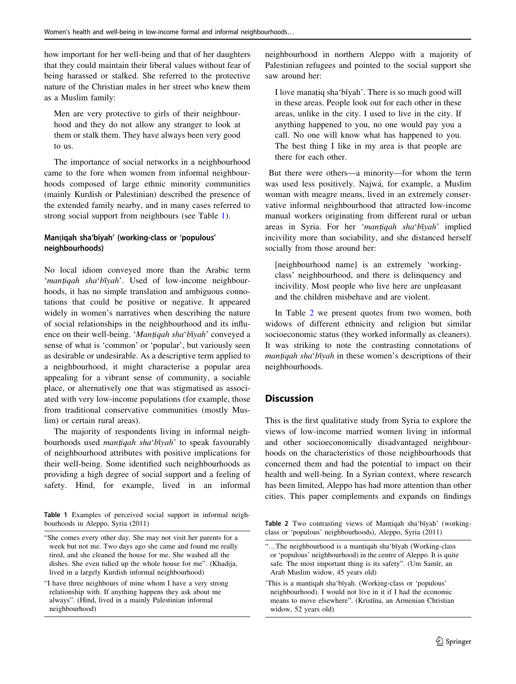how important for her well-being and that of her daughters that they could maintain their liberal values without fear of being harassed or stalked. She referred to the protective nature of the Christian males in her street who knew them as a Muslim family:

Men are very protective to girls of their neighbourhood and they do not allow any stranger to look at them or stalk them. They have always been very good to us.

The importance of social networks in a neighbourhood came to the fore when women from informal neighbourhoods composed of large ethnic minority communities (mainly Kurdish or Palestinian) described the presence of the extended family nearby, and in many cases referred to strong social support from neighbours (see Table 1).

## Manṭiqah sha'bīyah' (working-class or 'populous' neighbourhoods)

No local idiom conveyed more than the Arabic term 'manțiqah sha'bīyah'. Used of low-income neighbourhoods, it has no simple translation and ambiguous connotations that could be positive or negative. It appeared widely in women's narratives when describing the nature of social relationships in the neighbourhood and its influence on their well-being. 'Manṭiqah sha'bīyah' conveyed a sense of what is 'common' or 'popular', but variously seen as desirable or undesirable. As a descriptive term applied to a neighbourhood, it might characterise a popular area appealing for a vibrant sense of community, a sociable place, or alternatively one that was stigmatised as associated with very low-income populations (for example, those from traditional conservative communities (mostly Muslim) or certain rural areas).

The majority of respondents living in informal neighbourhoods used manṭiqah sha'bīyah' to speak favourably of neighbourhood attributes with positive implications for their well-being. Some identified such neighbourhoods as providing a high degree of social support and a feeling of safety. Hind, for example, lived in an informal

Table 1 Examples of perceived social support in informal neighbourhoods in Aleppo, Syria (2011)

"She comes every other day. She may not visit her parents for a week but not me. Two days ago she came and found me really tired, and she cleaned the house for me. She washed all the dishes. She even tidied up the whole house for me". (Khadija, lived in a largely Kurdish informal neighbourhood)

"I have three neighbours of mine whom I have a very strong relationship with. If anything happens they ask about me always". (Hind, lived in a mainly Palestinian informal neighbourhood)

neighbourhood in northern Aleppo with a majority of Palestinian refugees and pointed to the social support she saw around her:

I love manatiq sha'bīyah'. There is so much good will<br>in these grass. Boople look out for each other in these in these areas. People look out for each other in these areas, unlike in the city. I used to live in the city. If anything happened to you, no one would pay you a call. No one will know what has happened to you. The best thing I like in my area is that people are there for each other.

But there were others—a minority—for whom the term was used less positively. Najwa´, for example, a Muslim woman with meagre means, lived in an extremely conservative informal neighbourhood that attracted low-income manual workers originating from different rural or urban areas in Syria. For her 'manṭiqah sha'bīyah' implied incivility more than sociability, and she distanced herself socially from those around her:

[neighbourhood name] is an extremely 'workingclass' neighbourhood, and there is delinquency and incivility. Most people who live here are unpleasant and the children misbehave and are violent.

In Table 2 we present quotes from two women, both widows of different ethnicity and religion but similar socioeconomic status (they worked informally as cleaners). It was striking to note the contrasting connotations of manțiqah sha'bīyah in these women's descriptions of their neighbourhoods.

# **Discussion**

This is the first qualitative study from Syria to explore the views of low-income married women living in informal and other socioeconomically disadvantaged neighbourhoods on the characteristics of those neighbourhoods that concerned them and had the potential to impact on their health and well-being. In a Syrian context, where research has been limited, Aleppo has had more attention than other cities. This paper complements and expands on findings

Table 2 Two contrasting views of Mantiqah sha'bīyah' (working-<br>class or 'nopulous' naigbbourhoods), Alappo, Syria (2011) class or 'populous' neighbourhoods), Aleppo, Syria (2011)

<sup>&</sup>quot;...The neighbourhood is a mantiqah sha'bīyah (Working-class<br>or 'populous' neighbourhood) in the centre of Aleppo It is quite or 'populous' neighbourhood) in the centre of Aleppo. It is quite safe. The most important thing is its safety". (Um Samīr, an Arab Muslim widow, 45 years old)

This is a mantiqah sha'bīyah. (Working-class or 'populous'<br>
naighbourhood). I would not live in it if I had the economy neighbourhood). I would not live in it if I had the economic means to move elsewhere". (Kristīna, an Armenian Christian widow, 52 years old)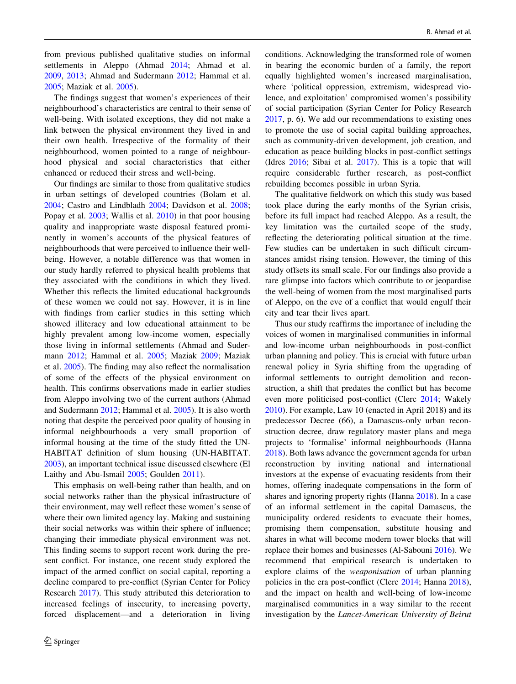from previous published qualitative studies on informal settlements in Aleppo (Ahmad [2014;](#page-6-0) Ahmad et al. [2009,](#page-6-0) [2013](#page-6-0); Ahmad and Sudermann [2012;](#page-6-0) Hammal et al. [2005;](#page-6-0) Maziak et al. [2005](#page-7-0)).

The findings suggest that women's experiences of their neighbourhood's characteristics are central to their sense of well-being. With isolated exceptions, they did not make a link between the physical environment they lived in and their own health. Irrespective of the formality of their neighbourhood, women pointed to a range of neighbourhood physical and social characteristics that either enhanced or reduced their stress and well-being.

Our findings are similar to those from qualitative studies in urban settings of developed countries (Bolam et al. [2004;](#page-6-0) Castro and Lindbladh [2004;](#page-6-0) Davidson et al. [2008](#page-6-0); Popay et al. [2003](#page-7-0); Wallis et al. [2010\)](#page-7-0) in that poor housing quality and inappropriate waste disposal featured prominently in women's accounts of the physical features of neighbourhoods that were perceived to influence their wellbeing. However, a notable difference was that women in our study hardly referred to physical health problems that they associated with the conditions in which they lived. Whether this reflects the limited educational backgrounds of these women we could not say. However, it is in line with findings from earlier studies in this setting which showed illiteracy and low educational attainment to be highly prevalent among low-income women, especially those living in informal settlements (Ahmad and Sudermann [2012;](#page-6-0) Hammal et al. [2005;](#page-6-0) Maziak [2009;](#page-6-0) Maziak et al. [2005\)](#page-7-0). The finding may also reflect the normalisation of some of the effects of the physical environment on health. This confirms observations made in earlier studies from Aleppo involving two of the current authors (Ahmad and Sudermann [2012](#page-6-0); Hammal et al. [2005\)](#page-6-0). It is also worth noting that despite the perceived poor quality of housing in informal neighbourhoods a very small proportion of informal housing at the time of the study fitted the UN-HABITAT definition of slum housing (UN-HABITAT. [2003\)](#page-7-0), an important technical issue discussed elsewhere (El Laithy and Abu-Ismail [2005](#page-6-0); Goulden [2011\)](#page-6-0).

This emphasis on well-being rather than health, and on social networks rather than the physical infrastructure of their environment, may well reflect these women's sense of where their own limited agency lay. Making and sustaining their social networks was within their sphere of influence; changing their immediate physical environment was not. This finding seems to support recent work during the present conflict. For instance, one recent study explored the impact of the armed conflict on social capital, reporting a decline compared to pre-conflict (Syrian Center for Policy Research [2017](#page-7-0)). This study attributed this deterioration to increased feelings of insecurity, to increasing poverty, forced displacement—and a deterioration in living conditions. Acknowledging the transformed role of women in bearing the economic burden of a family, the report equally highlighted women's increased marginalisation, where 'political oppression, extremism, widespread violence, and exploitation' compromised women's possibility of social participation (Syrian Center for Policy Research [2017](#page-7-0), p. 6). We add our recommendations to existing ones to promote the use of social capital building approaches, such as community-driven development, job creation, and education as peace building blocks in post-conflict settings (Idres [2016;](#page-6-0) Sibai et al. [2017](#page-7-0)). This is a topic that will require considerable further research, as post-conflict rebuilding becomes possible in urban Syria.

The qualitative fieldwork on which this study was based took place during the early months of the Syrian crisis, before its full impact had reached Aleppo. As a result, the key limitation was the curtailed scope of the study, reflecting the deteriorating political situation at the time. Few studies can be undertaken in such difficult circumstances amidst rising tension. However, the timing of this study offsets its small scale. For our findings also provide a rare glimpse into factors which contribute to or jeopardise the well-being of women from the most marginalised parts of Aleppo, on the eve of a conflict that would engulf their city and tear their lives apart.

Thus our study reaffirms the importance of including the voices of women in marginalised communities in informal and low-income urban neighbourhoods in post-conflict urban planning and policy. This is crucial with future urban renewal policy in Syria shifting from the upgrading of informal settlements to outright demolition and reconstruction, a shift that predates the conflict but has become even more politicised post-conflict (Clerc [2014;](#page-6-0) Wakely [2010](#page-7-0)). For example, Law 10 (enacted in April 2018) and its predecessor Decree (66), a Damascus-only urban reconstruction decree, draw regulatory master plans and mega projects to 'formalise' informal neighbourhoods (Hanna [2018](#page-6-0)). Both laws advance the government agenda for urban reconstruction by inviting national and international investors at the expense of evacuating residents from their homes, offering inadequate compensations in the form of shares and ignoring property rights (Hanna [2018\)](#page-6-0). In a case of an informal settlement in the capital Damascus, the municipality ordered residents to evacuate their homes, promising them compensation, substitute housing and shares in what will become modern tower blocks that will replace their homes and businesses (Al-Sabouni [2016\)](#page-6-0). We recommend that empirical research is undertaken to explore claims of the weaponisation of urban planning policies in the era post-conflict (Clerc [2014](#page-6-0); Hanna [2018](#page-6-0)), and the impact on health and well-being of low-income marginalised communities in a way similar to the recent investigation by the Lancet-American University of Beirut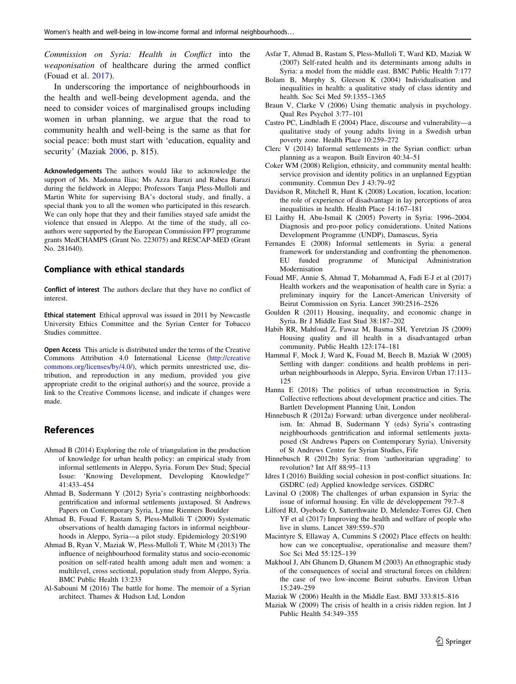<span id="page-6-0"></span>Commission on Syria: Health in Conflict into the weaponisation of healthcare during the armed conflict (Fouad et al. 2017).

In underscoring the importance of neighbourhoods in the health and well-being development agenda, and the need to consider voices of marginalised groups including women in urban planning, we argue that the road to community health and well-being is the same as that for social peace: both must start with 'education, equality and security' (Maziak 2006, p. 815).

Acknowledgements The authors would like to acknowledge the support of Ms. Madonna Ilias; Ms Azza Barazi and Rabea Barazi during the fieldwork in Aleppo; Professors Tanja Pless-Mulloli and Martin White for supervising BA's doctoral study, and finally, a special thank you to all the women who participated in this research. We can only hope that they and their families stayed safe amidst the violence that ensued in Aleppo. At the time of the study, all coauthors were supported by the European Commission FP7 programme grants MedCHAMPS (Grant No. 223075) and RESCAP-MED (Grant No. 281640).

## Compliance with ethical standards

Conflict of interest The authors declare that they have no conflict of interest.

Ethical statement Ethical approval was issued in 2011 by Newcastle University Ethics Committee and the Syrian Center for Tobacco Studies committee.

Open Access This article is distributed under the terms of the Creative Commons Attribution 4.0 International License ([http://creative](http://creativecommons.org/licenses/by/4.0/) [commons.org/licenses/by/4.0/\)](http://creativecommons.org/licenses/by/4.0/), which permits unrestricted use, distribution, and reproduction in any medium, provided you give appropriate credit to the original author(s) and the source, provide a link to the Creative Commons license, and indicate if changes were made.

## References

- Ahmad B (2014) Exploring the role of triangulation in the production of knowledge for urban health policy: an empirical study from informal settlements in Aleppo, Syria. Forum Dev Stud; Special Issue: 'Knowing Development, Developing Knowledge?' 41:433–454
- Ahmad B, Sudermann Y (2012) Syria's contrasting neighborhoods: gentrification and informal settlements juxtaposed. St Andrews Papers on Contemporary Syria, Lynne Rienners Boulder
- Ahmad B, Fouad F, Rastam S, Pless-Mulloli T (2009) Systematic observations of health damaging factors in informal neighbourhoods in Aleppo, Syria—a pilot study. Epidemiology 20:S190
- Ahmad B, Ryan V, Maziak W, Pless-Mulloli T, White M (2013) The influence of neighbourhood formality status and socio-economic position on self-rated health among adult men and women: a multilevel, cross sectional, population study from Aleppo, Syria. BMC Public Health 13:233
- Al-Sabouni M (2016) The battle for home. The memoir of a Syrian architect. Thames & Hudson Ltd, London
- Asfar T, Ahmad B, Rastam S, Pless-Mulloli T, Ward KD, Maziak W (2007) Self-rated health and its determinants among adults in Syria: a model from the middle east. BMC Public Health 7:177
- Bolam B, Murphy S, Gleeson K (2004) Individualisation and inequalities in health: a qualitative study of class identity and health. Soc Sci Med 59:1355–1365
- Braun V, Clarke V (2006) Using thematic analysis in psychology. Qual Res Psychol 3:77–101
- Castro PC, Lindbladh E (2004) Place, discourse and vulnerability—a qualitative study of young adults living in a Swedish urban poverty zone. Health Place 10:259–272
- Clerc V (2014) Informal settlements in the Syrian conflict: urban planning as a weapon. Built Environ 40:34–51
- Coker WM (2008) Religion, ethnicity, and community mental health: service provision and identity politics in an unplanned Egyptian community. Commun Dev J 43:79–92
- Davidson R, Mitchell R, Hunt K (2008) Location, location, location: the role of experience of disadvantage in lay perceptions of area inequalities in health. Health Place 14:167–181
- El Laithy H, Abu-Ismail K (2005) Poverty in Syria: 1996–2004. Diagnosis and pro-poor policy considerations. United Nations Development Programme (UNDP), Damascus, Syria
- Fernandes E (2008) Informal settlements in Syria: a general framework for understanding and confronting the phenomenon. EU funded programme of Municipal Administration Modernisation
- Fouad MF, Annie S, Ahmad T, Mohammad A, Fadi E-J et al (2017) Health workers and the weaponisation of health care in Syria: a preliminary inquiry for the Lancet-American University of Beirut Commission on Syria. Lancet 390:2516–2526
- Goulden R (2011) Housing, inequality, and economic change in Syria. Br J Middle East Stud 38:187–202
- Habib RR, Mahfoud Z, Fawaz M, Basma SH, Yeretzian JS (2009) Housing quality and ill health in a disadvantaged urban community. Public Health 123:174–181
- Hammal F, Mock J, Ward K, Fouad M, Beech B, Maziak W (2005) Settling with danger: conditions and health problems in periurban neighbourhoods in Aleppo, Syria. Environ Urban 17:113– 125
- Hanna E (2018) The politics of urban reconstruction in Syria. Collective reflections about development practice and cities. The Bartlett Development Planning Unit, London
- Hinnebusch R (2012a) Forward: urban divergence under neoliberalism. In: Ahmad B, Sudermann Y (eds) Syria's contrasting neighbourhoods gentrification and informal settlements juxtaposed (St Andrews Papers on Contemporary Syria). University of St Andrews Centre for Syrian Studies, Fife
- Hinnebusch R (2012b) Syria: from 'authoritarian upgrading' to revolution? Int Aff 88:95–113
- Idres I (2016) Building social cohesion in post-conflict situations. In: GSDRC (ed) Applied knowledge services. GSDRC
- Lavinal O (2008) The challenges of urban expansion in Syria: the issue of informal housing. En ville de développement 79:7-8
- Lilford RJ, Oyebode O, Satterthwaite D, Melendez-Torres GJ, Chen YF et al (2017) Improving the health and welfare of people who live in slums. Lancet 389:559–570
- Macintyre S, Ellaway A, Cummins S (2002) Place effects on health: how can we conceptualise, operationalise and measure them? Soc Sci Med 55:125–139
- Makhoul J, Abi Ghanem D, Ghanem M (2003) An ethnographic study of the consequences of social and structural forces on children: the case of two low-income Beirut suburbs. Environ Urban 15:249–259
- Maziak W (2006) Health in the Middle East. BMJ 333:815–816
- Maziak W (2009) The crisis of health in a crisis ridden region. Int J Public Health 54:349–355